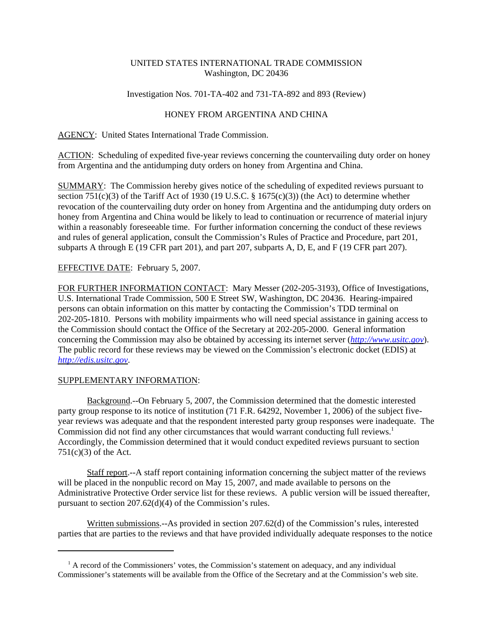## UNITED STATES INTERNATIONAL TRADE COMMISSION Washington, DC 20436

#### Investigation Nos. 701-TA-402 and 731-TA-892 and 893 (Review)

## HONEY FROM ARGENTINA AND CHINA

AGENCY: United States International Trade Commission.

ACTION: Scheduling of expedited five-year reviews concerning the countervailing duty order on honey from Argentina and the antidumping duty orders on honey from Argentina and China.

SUMMARY: The Commission hereby gives notice of the scheduling of expedited reviews pursuant to section 751(c)(3) of the Tariff Act of 1930 (19 U.S.C.  $\S$  1675(c)(3)) (the Act) to determine whether revocation of the countervailing duty order on honey from Argentina and the antidumping duty orders on honey from Argentina and China would be likely to lead to continuation or recurrence of material injury within a reasonably foreseeable time. For further information concerning the conduct of these reviews and rules of general application, consult the Commission's Rules of Practice and Procedure, part 201, subparts A through E (19 CFR part 201), and part 207, subparts A, D, E, and F (19 CFR part 207).

# EFFECTIVE DATE: February 5, 2007.

FOR FURTHER INFORMATION CONTACT: Mary Messer (202-205-3193), Office of Investigations, U.S. International Trade Commission, 500 E Street SW, Washington, DC 20436. Hearing-impaired persons can obtain information on this matter by contacting the Commission's TDD terminal on 202-205-1810. Persons with mobility impairments who will need special assistance in gaining access to the Commission should contact the Office of the Secretary at 202-205-2000. General information concerning the Commission may also be obtained by accessing its internet server (*http://www.usitc.gov*). The public record for these reviews may be viewed on the Commission's electronic docket (EDIS) at *http://edis.usitc.gov*.

#### SUPPLEMENTARY INFORMATION:

Background.--On February 5, 2007, the Commission determined that the domestic interested party group response to its notice of institution (71 F.R. 64292, November 1, 2006) of the subject fiveyear reviews was adequate and that the respondent interested party group responses were inadequate. The Commission did not find any other circumstances that would warrant conducting full reviews.<sup>1</sup> Accordingly, the Commission determined that it would conduct expedited reviews pursuant to section 751(c)(3) of the Act.

Staff report.--A staff report containing information concerning the subject matter of the reviews will be placed in the nonpublic record on May 15, 2007, and made available to persons on the Administrative Protective Order service list for these reviews. A public version will be issued thereafter, pursuant to section 207.62(d)(4) of the Commission's rules.

Written submissions.--As provided in section 207.62(d) of the Commission's rules, interested parties that are parties to the reviews and that have provided individually adequate responses to the notice

<sup>&</sup>lt;sup>1</sup> A record of the Commissioners' votes, the Commission's statement on adequacy, and any individual Commissioner's statements will be available from the Office of the Secretary and at the Commission's web site.